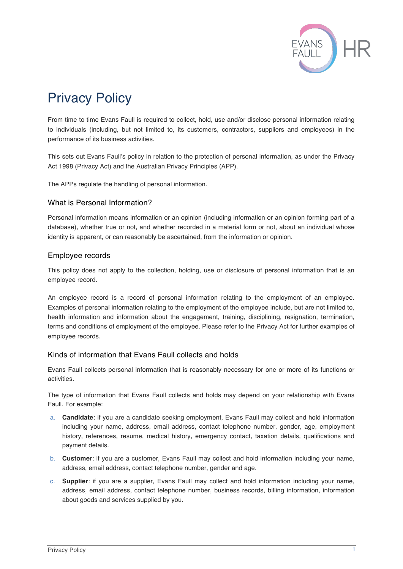

# Privacy Policy

From time to time Evans Faull is required to collect, hold, use and/or disclose personal information relating to individuals (including, but not limited to, its customers, contractors, suppliers and employees) in the performance of its business activities.

This sets out Evans Faull's policy in relation to the protection of personal information, as under the Privacy Act 1998 (Privacy Act) and the Australian Privacy Principles (APP).

The APPs regulate the handling of personal information.

#### What is Personal Information?

Personal information means information or an opinion (including information or an opinion forming part of a database), whether true or not, and whether recorded in a material form or not, about an individual whose identity is apparent, or can reasonably be ascertained, from the information or opinion.

#### Employee records

This policy does not apply to the collection, holding, use or disclosure of personal information that is an employee record.

An employee record is a record of personal information relating to the employment of an employee. Examples of personal information relating to the employment of the employee include, but are not limited to, health information and information about the engagement, training, disciplining, resignation, termination, terms and conditions of employment of the employee. Please refer to the Privacy Act for further examples of employee records.

## Kinds of information that Evans Faull collects and holds

Evans Faull collects personal information that is reasonably necessary for one or more of its functions or activities.

The type of information that Evans Faull collects and holds may depend on your relationship with Evans Faull. For example:

- a. **Candidate**: if you are a candidate seeking employment, Evans Faull may collect and hold information including your name, address, email address, contact telephone number, gender, age, employment history, references, resume, medical history, emergency contact, taxation details, qualifications and payment details.
- b. **Customer**: if you are a customer, Evans Faull may collect and hold information including your name, address, email address, contact telephone number, gender and age.
- c. **Supplier**: if you are a supplier, Evans Faull may collect and hold information including your name, address, email address, contact telephone number, business records, billing information, information about goods and services supplied by you.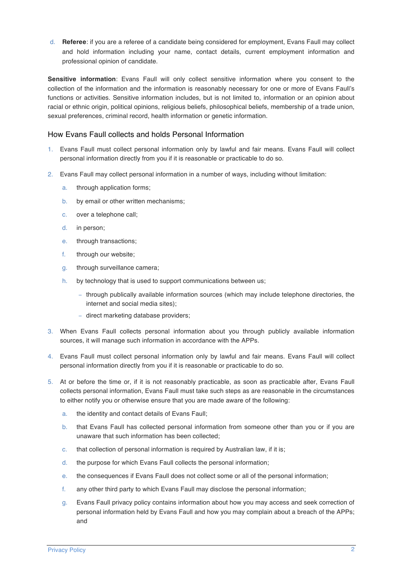d. **Referee**: if you are a referee of a candidate being considered for employment, Evans Faull may collect and hold information including your name, contact details, current employment information and professional opinion of candidate.

**Sensitive information**: Evans Faull will only collect sensitive information where you consent to the collection of the information and the information is reasonably necessary for one or more of Evans Faull's functions or activities. Sensitive information includes, but is not limited to, information or an opinion about racial or ethnic origin, political opinions, religious beliefs, philosophical beliefs, membership of a trade union, sexual preferences, criminal record, health information or genetic information.

## How Evans Faull collects and holds Personal Information

- 1. Evans Faull must collect personal information only by lawful and fair means. Evans Faull will collect personal information directly from you if it is reasonable or practicable to do so.
- 2. Evans Faull may collect personal information in a number of ways, including without limitation:
	- a. through application forms;
	- b. by email or other written mechanisms;
	- c. over a telephone call;
	- d. in person;
	- e. through transactions;
	- f. through our website;
	- g. through surveillance camera;
	- h. by technology that is used to support communications between us;
		- − through publically available information sources (which may include telephone directories, the internet and social media sites);
		- − direct marketing database providers;
- 3. When Evans Faull collects personal information about you through publicly available information sources, it will manage such information in accordance with the APPs.
- 4. Evans Faull must collect personal information only by lawful and fair means. Evans Faull will collect personal information directly from you if it is reasonable or practicable to do so.
- 5. At or before the time or, if it is not reasonably practicable, as soon as practicable after, Evans Faull collects personal information, Evans Faull must take such steps as are reasonable in the circumstances to either notify you or otherwise ensure that you are made aware of the following:
	- a. the identity and contact details of Evans Faull;
	- b. that Evans Faull has collected personal information from someone other than you or if you are unaware that such information has been collected;
	- c. that collection of personal information is required by Australian law, if it is;
	- d. the purpose for which Evans Faull collects the personal information;
	- e. the consequences if Evans Faull does not collect some or all of the personal information;
	- f. any other third party to which Evans Faull may disclose the personal information;
	- g. Evans Faull privacy policy contains information about how you may access and seek correction of personal information held by Evans Faull and how you may complain about a breach of the APPs; and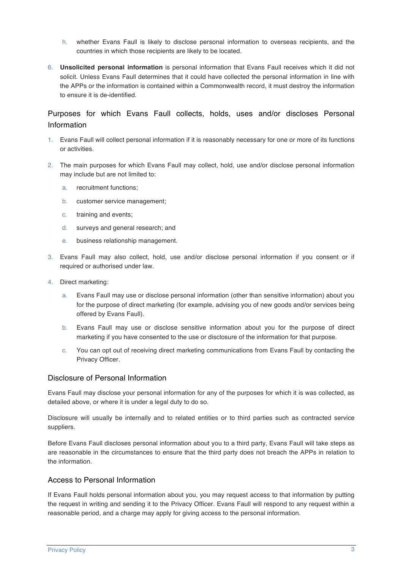- h. whether Evans Faull is likely to disclose personal information to overseas recipients, and the countries in which those recipients are likely to be located.
- 6. **Unsolicited personal information** is personal information that Evans Faull receives which it did not solicit. Unless Evans Faull determines that it could have collected the personal information in line with the APPs or the information is contained within a Commonwealth record, it must destroy the information to ensure it is de-identified.

## Purposes for which Evans Faull collects, holds, uses and/or discloses Personal Information

- 1. Evans Faull will collect personal information if it is reasonably necessary for one or more of its functions or activities.
- 2. The main purposes for which Evans Faull may collect, hold, use and/or disclose personal information may include but are not limited to:
	- a. recruitment functions;
	- b. customer service management;
	- c. training and events;
	- d. surveys and general research; and
	- e. business relationship management.
- 3. Evans Faull may also collect, hold, use and/or disclose personal information if you consent or if required or authorised under law.
- 4. Direct marketing:
	- a. Evans Faull may use or disclose personal information (other than sensitive information) about you for the purpose of direct marketing (for example, advising you of new goods and/or services being offered by Evans Faull).
	- b. Evans Faull may use or disclose sensitive information about you for the purpose of direct marketing if you have consented to the use or disclosure of the information for that purpose.
	- c. You can opt out of receiving direct marketing communications from Evans Faull by contacting the Privacy Officer.

#### Disclosure of Personal Information

Evans Faull may disclose your personal information for any of the purposes for which it is was collected, as detailed above, or where it is under a legal duty to do so.

Disclosure will usually be internally and to related entities or to third parties such as contracted service suppliers.

Before Evans Faull discloses personal information about you to a third party, Evans Faull will take steps as are reasonable in the circumstances to ensure that the third party does not breach the APPs in relation to the information.

## Access to Personal Information

If Evans Faull holds personal information about you, you may request access to that information by putting the request in writing and sending it to the Privacy Officer. Evans Faull will respond to any request within a reasonable period, and a charge may apply for giving access to the personal information.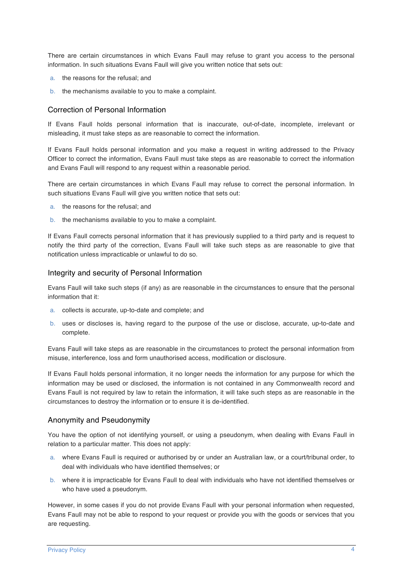There are certain circumstances in which Evans Faull may refuse to grant you access to the personal information. In such situations Evans Faull will give you written notice that sets out:

- a. the reasons for the refusal; and
- b. the mechanisms available to you to make a complaint.

#### Correction of Personal Information

If Evans Faull holds personal information that is inaccurate, out-of-date, incomplete, irrelevant or misleading, it must take steps as are reasonable to correct the information.

If Evans Faull holds personal information and you make a request in writing addressed to the Privacy Officer to correct the information, Evans Faull must take steps as are reasonable to correct the information and Evans Faull will respond to any request within a reasonable period.

There are certain circumstances in which Evans Faull may refuse to correct the personal information. In such situations Evans Faull will give you written notice that sets out:

- a. the reasons for the refusal; and
- b. the mechanisms available to you to make a complaint.

If Evans Faull corrects personal information that it has previously supplied to a third party and is request to notify the third party of the correction, Evans Faull will take such steps as are reasonable to give that notification unless impracticable or unlawful to do so.

#### Integrity and security of Personal Information

Evans Faull will take such steps (if any) as are reasonable in the circumstances to ensure that the personal information that it:

- a. collects is accurate, up-to-date and complete; and
- b. uses or discloses is, having regard to the purpose of the use or disclose, accurate, up-to-date and complete.

Evans Faull will take steps as are reasonable in the circumstances to protect the personal information from misuse, interference, loss and form unauthorised access, modification or disclosure.

If Evans Faull holds personal information, it no longer needs the information for any purpose for which the information may be used or disclosed, the information is not contained in any Commonwealth record and Evans Faull is not required by law to retain the information, it will take such steps as are reasonable in the circumstances to destroy the information or to ensure it is de-identified.

#### Anonymity and Pseudonymity

You have the option of not identifying yourself, or using a pseudonym, when dealing with Evans Faull in relation to a particular matter. This does not apply:

- a. where Evans Faull is required or authorised by or under an Australian law, or a court/tribunal order, to deal with individuals who have identified themselves; or
- b. where it is impracticable for Evans Faull to deal with individuals who have not identified themselves or who have used a pseudonym.

However, in some cases if you do not provide Evans Faull with your personal information when requested, Evans Faull may not be able to respond to your request or provide you with the goods or services that you are requesting.